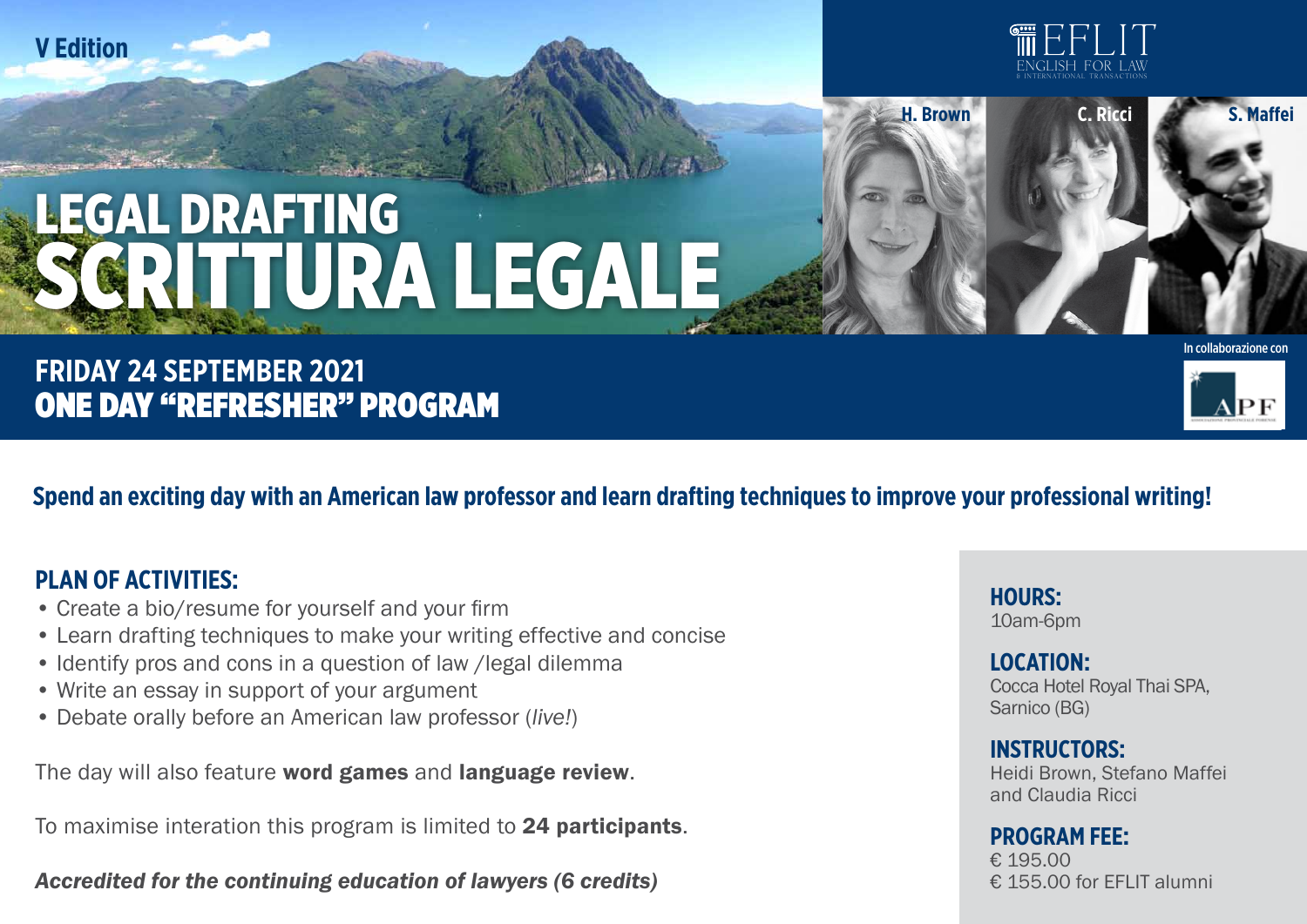**V Edition**



**H. Brown C. Ricci S. Maffei**

# **EGAL DRAFTING** SCRITTURA LEGALE

## **FRIDAY 24 SEPTEMBER 2021** ONE DAY "REFRESHER" PROGRAM

In collaborazione con



**Spend an exciting day with an American law professor and learn drafting techniques to improve your professional writing!**

### **PLAN OF ACTIVITIES:**

- Create a bio/resume for yourself and your firm
- Learn drafting techniques to make your writing effective and concise
- Identify pros and cons in a question of law /legal dilemma
- Write an essay in support of your argument
- Debate orally before an American law professor (*live!*)

The day will also feature word games and language review.

To maximise interation this program is limited to 24 participants.

*Accredited for the continuing education of lawyers (6 credits)*

**hours:**  10am-6pm

#### **LOCATION:**  Cocca Hotel Royal Thai SPA,

Sarnico (BG)

#### **Instructors:**

Heidi Brown, Stefano Maffei and Claudia Ricci

#### **Program fee:**

€ 195.00 € 155.00 for FFI IT alumni